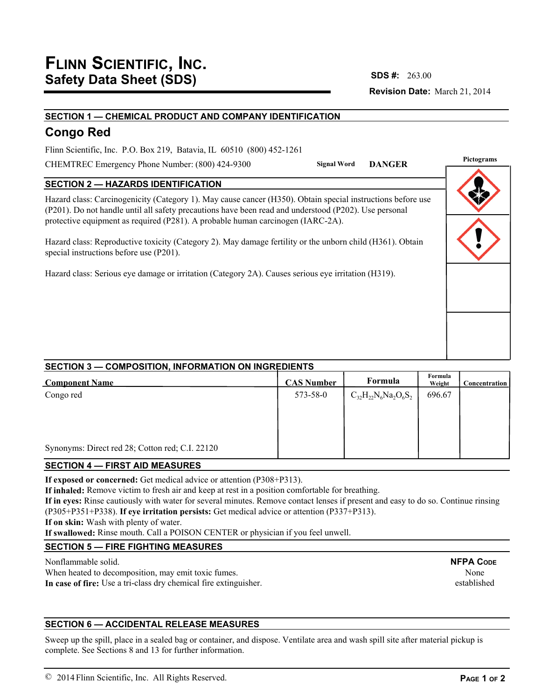# **Revision Date:** March 21, 2014 **SDS #:**

# **SECTION 1 — CHEMICAL PRODUCT AND COMPANY IDENTIFICATION**

# **Congo Red**

Flinn Scientific, Inc. P.O. Box 219, Batavia, IL 60510 (800) 452-1261

CHEMTREC Emergency Phone Number: (800) 424-9300

**Pignal Word DANGER** 

# **SECTION 2 — HAZARDS IDENTIFICATION**

Hazard class: Carcinogenicity (Category 1). May cause cancer (H350). Obtain special instructions before use (P201). Do not handle until all safety precautions have been read and understood (P202). Use personal protective equipment as required (P281). A probable human carcinogen (IARC-2A).

Hazard class: Reproductive toxicity (Category 2). May damage fertility or the unborn child (H361). Obtain special instructions before use (P201).

Hazard class: Serious eye damage or irritation (Category 2A). Causes serious eye irritation (H319).

| Pictograms |  |  |  |  |  |
|------------|--|--|--|--|--|
|            |  |  |  |  |  |
|            |  |  |  |  |  |
|            |  |  |  |  |  |
|            |  |  |  |  |  |

# **SECTION 3 — COMPOSITION, INFORMATION ON INGREDIENTS**

| <b>Component Name</b>                           | <b>CAS Number</b> | Formula                     | Formula<br>Weight | <b>Concentration</b> |
|-------------------------------------------------|-------------------|-----------------------------|-------------------|----------------------|
| Congo red                                       | 573-58-0          | $C_{32}H_{22}N_6Na_2O_6S_2$ | 696.67            |                      |
|                                                 |                   |                             |                   |                      |
|                                                 |                   |                             |                   |                      |
| Synonyms: Direct red 28; Cotton red; C.I. 22120 |                   |                             |                   |                      |

## **SECTION 4 — FIRST AID MEASURES**

**If exposed or concerned:** Get medical advice or attention (P308+P313).

**If inhaled:** Remove victim to fresh air and keep at rest in a position comfortable for breathing.

**If in eyes:** Rinse cautiously with water for several minutes. Remove contact lenses if present and easy to do so. Continue rinsing (P305+P351+P338). **If eye irritation persists:** Get medical advice or attention (P337+P313).

**If on skin:** Wash with plenty of water.

**If swallowed:** Rinse mouth. Call a POISON CENTER or physician if you feel unwell.

# **SECTION 5 — FIRE FIGHTING MEASURES**

Nonflammable solid.

When heated to decomposition, may emit toxic fumes. **In case of fire:** Use a tri-class dry chemical fire extinguisher.

# **SECTION 6 — ACCIDENTAL RELEASE MEASURES**

Sweep up the spill, place in a sealed bag or container, and dispose. Ventilate area and wash spill site after material pickup is complete. See Sections 8 and 13 for further information.

None established

# **NFPA CODE**